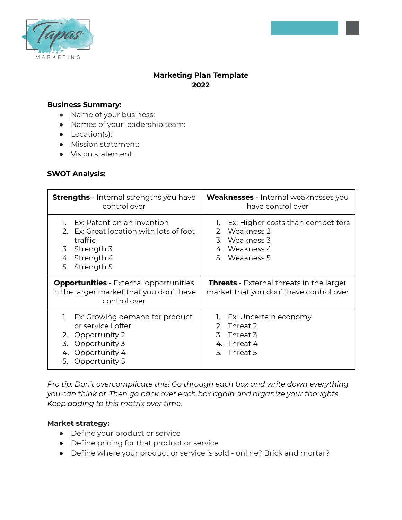

# **Marketing Plan Template 2022**

## **Business Summary:**

- Name of your business:
- Names of your leadership team:
- Location(s):
- Mission statement:
- Vision statement:

#### **SWOT Analysis:**

| <b>Strengths</b> - Internal strengths you have                                                                                                         | <b>Weaknesses</b> - Internal weaknesses you                                                |
|--------------------------------------------------------------------------------------------------------------------------------------------------------|--------------------------------------------------------------------------------------------|
| control over                                                                                                                                           | have control over                                                                          |
| Ex: Patent on an invention                                                                                                                             | Ex: Higher costs than competitors                                                          |
| Ex: Great location with lots of foot                                                                                                                   | 1.                                                                                         |
| $2^{\circ}$                                                                                                                                            | Weakness 2                                                                                 |
| traffic                                                                                                                                                | 2.                                                                                         |
| 3. Strength 3                                                                                                                                          | 3. Weakness 3                                                                              |
| 4. Strength 4                                                                                                                                          | 4. Weakness 4                                                                              |
| 5. Strength 5                                                                                                                                          | 5. Weakness 5                                                                              |
| <b>Opportunities</b> - External opportunities<br>in the larger market that you don't have<br>control over                                              | <b>Threats</b> - External threats in the larger<br>market that you don't have control over |
| Ex: Growing demand for product<br>1.<br>or service I offer<br>Opportunity 2<br>2.<br>Opportunity 3<br>3.<br>Opportunity 4<br>4.<br>Opportunity 5<br>5. | 1. Ex: Uncertain economy<br>Threat 2<br>2.<br>3. Threat 3<br>4. Threat 4<br>5. Threat 5    |

*Pro tip: Don't overcomplicate this! Go through each box and write down everything you can think of. Then go back over each box again and organize your thoughts. Keep adding to this matrix over time.*

#### **Market strategy:**

- Define your product or service
- Define pricing for that product or service
- Define where your product or service is sold online? Brick and mortar?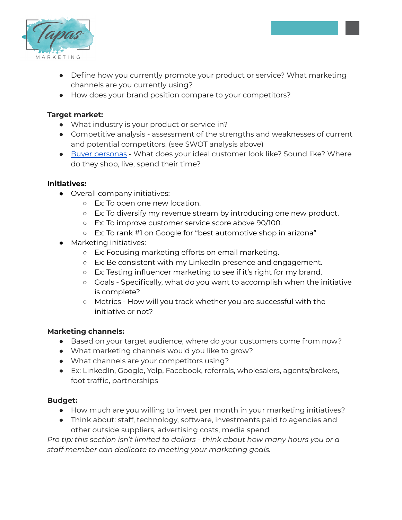

- Define how you currently promote your product or service? What marketing channels are you currently using?
- How does your brand position compare to your competitors?

# **Target market:**

- What industry is your product or service in?
- Competitive analysis assessment of the strengths and weaknesses of current and potential competitors. (see SWOT analysis above)
- Buyer [personas](https://blog.hubspot.com/marketing/buyer-persona-definition-under-100-sr) What does your ideal customer look like? Sound like? Where do they shop, live, spend their time?

## **Initiatives:**

- Overall company initiatives:
	- Ex: To open one new location.
	- Ex: To diversify my revenue stream by introducing one new product.
	- Ex: To improve customer service score above 90/100.
	- Ex: To rank #1 on Google for "best automotive shop in arizona"
- Marketing initiatives:
	- Ex: Focusing marketing efforts on email marketing.
	- Ex: Be consistent with my LinkedIn presence and engagement.
	- Ex: Testing influencer marketing to see if it's right for my brand.
	- Goals Specifically, what do you want to accomplish when the initiative is complete?
	- Metrics How will you track whether you are successful with the initiative or not?

## **Marketing channels:**

- Based on your target audience, where do your customers come from now?
- What marketing channels would you like to grow?
- What channels are your competitors using?
- Ex: LinkedIn, Google, Yelp, Facebook, referrals, wholesalers, agents/brokers, foot traffic, partnerships

## **Budget:**

- How much are you willing to invest per month in your marketing initiatives?
- Think about: staff, technology, software, investments paid to agencies and other outside suppliers, advertising costs, media spend

*Pro tip: this section isn't limited to dollars - think about how many hours you or a staff member can dedicate to meeting your marketing goals.*